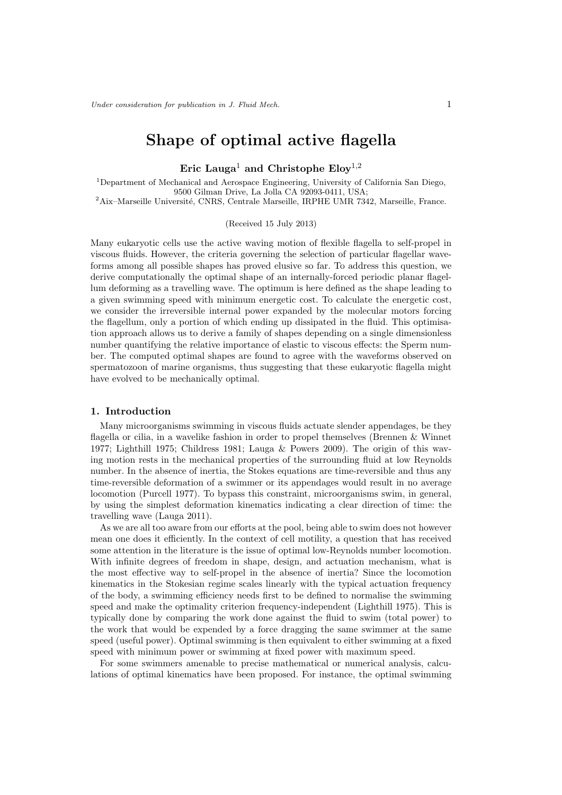# Shape of optimal active flagella

Eric Lauga<sup>1</sup> and Christophe Eloy<sup>1,2</sup>

<sup>1</sup>Department of Mechanical and Aerospace Engineering, University of California San Diego, 9500 Gilman Drive, La Jolla CA 92093-0411, USA;

<sup>2</sup>Aix–Marseille Université, CNRS, Centrale Marseille, IRPHE UMR 7342, Marseille, France.

(Received 15 July 2013)

Many eukaryotic cells use the active waving motion of flexible flagella to self-propel in viscous fluids. However, the criteria governing the selection of particular flagellar waveforms among all possible shapes has proved elusive so far. To address this question, we derive computationally the optimal shape of an internally-forced periodic planar flagellum deforming as a travelling wave. The optimum is here defined as the shape leading to a given swimming speed with minimum energetic cost. To calculate the energetic cost, we consider the irreversible internal power expanded by the molecular motors forcing the flagellum, only a portion of which ending up dissipated in the fluid. This optimisation approach allows us to derive a family of shapes depending on a single dimensionless number quantifying the relative importance of elastic to viscous effects: the Sperm number. The computed optimal shapes are found to agree with the waveforms observed on spermatozoon of marine organisms, thus suggesting that these eukaryotic flagella might have evolved to be mechanically optimal.

## 1. Introduction

Many microorganisms swimming in viscous fluids actuate slender appendages, be they flagella or cilia, in a wavelike fashion in order to propel themselves (Brennen & Winnet 1977; Lighthill 1975; Childress 1981; Lauga & Powers 2009). The origin of this waving motion rests in the mechanical properties of the surrounding fluid at low Reynolds number. In the absence of inertia, the Stokes equations are time-reversible and thus any time-reversible deformation of a swimmer or its appendages would result in no average locomotion (Purcell 1977). To bypass this constraint, microorganisms swim, in general, by using the simplest deformation kinematics indicating a clear direction of time: the travelling wave (Lauga 2011).

As we are all too aware from our efforts at the pool, being able to swim does not however mean one does it efficiently. In the context of cell motility, a question that has received some attention in the literature is the issue of optimal low-Reynolds number locomotion. With infinite degrees of freedom in shape, design, and actuation mechanism, what is the most effective way to self-propel in the absence of inertia? Since the locomotion kinematics in the Stokesian regime scales linearly with the typical actuation frequency of the body, a swimming efficiency needs first to be defined to normalise the swimming speed and make the optimality criterion frequency-independent (Lighthill 1975). This is typically done by comparing the work done against the fluid to swim (total power) to the work that would be expended by a force dragging the same swimmer at the same speed (useful power). Optimal swimming is then equivalent to either swimming at a fixed speed with minimum power or swimming at fixed power with maximum speed.

For some swimmers amenable to precise mathematical or numerical analysis, calculations of optimal kinematics have been proposed. For instance, the optimal swimming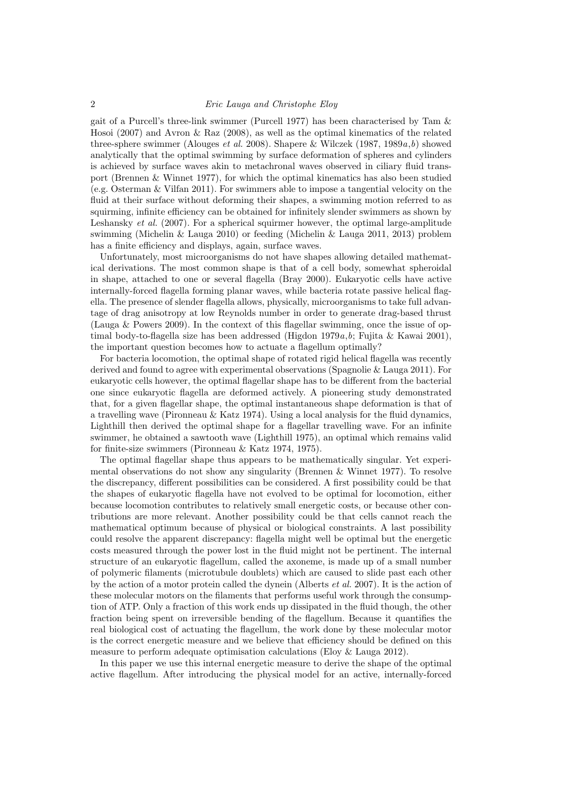### 2 Eric Lauga and Christophe Eloy

gait of a Purcell's three-link swimmer (Purcell 1977) has been characterised by Tam & Hosoi (2007) and Avron & Raz (2008), as well as the optimal kinematics of the related three-sphere swimmer (Alouges *et al.* 2008). Shapere & Wilczek (1987, 1989 $a,b$ ) showed analytically that the optimal swimming by surface deformation of spheres and cylinders is achieved by surface waves akin to metachronal waves observed in ciliary fluid transport (Brennen & Winnet 1977), for which the optimal kinematics has also been studied (e.g. Osterman & Vilfan 2011). For swimmers able to impose a tangential velocity on the fluid at their surface without deforming their shapes, a swimming motion referred to as squirming, infinite efficiency can be obtained for infinitely slender swimmers as shown by Leshansky *et al.* (2007). For a spherical squirmer however, the optimal large-amplitude swimming (Michelin & Lauga 2010) or feeding (Michelin & Lauga 2011, 2013) problem has a finite efficiency and displays, again, surface waves.

Unfortunately, most microorganisms do not have shapes allowing detailed mathematical derivations. The most common shape is that of a cell body, somewhat spheroidal in shape, attached to one or several flagella (Bray 2000). Eukaryotic cells have active internally-forced flagella forming planar waves, while bacteria rotate passive helical flagella. The presence of slender flagella allows, physically, microorganisms to take full advantage of drag anisotropy at low Reynolds number in order to generate drag-based thrust (Lauga & Powers 2009). In the context of this flagellar swimming, once the issue of optimal body-to-flagella size has been addressed (Higdon 1979a,b; Fujita & Kawai 2001), the important question becomes how to actuate a flagellum optimally?

For bacteria locomotion, the optimal shape of rotated rigid helical flagella was recently derived and found to agree with experimental observations (Spagnolie & Lauga 2011). For eukaryotic cells however, the optimal flagellar shape has to be different from the bacterial one since eukaryotic flagella are deformed actively. A pioneering study demonstrated that, for a given flagellar shape, the optimal instantaneous shape deformation is that of a travelling wave (Pironneau & Katz 1974). Using a local analysis for the fluid dynamics, Lighthill then derived the optimal shape for a flagellar travelling wave. For an infinite swimmer, he obtained a sawtooth wave (Lighthill 1975), an optimal which remains valid for finite-size swimmers (Pironneau & Katz 1974, 1975).

The optimal flagellar shape thus appears to be mathematically singular. Yet experimental observations do not show any singularity (Brennen & Winnet 1977). To resolve the discrepancy, different possibilities can be considered. A first possibility could be that the shapes of eukaryotic flagella have not evolved to be optimal for locomotion, either because locomotion contributes to relatively small energetic costs, or because other contributions are more relevant. Another possibility could be that cells cannot reach the mathematical optimum because of physical or biological constraints. A last possibility could resolve the apparent discrepancy: flagella might well be optimal but the energetic costs measured through the power lost in the fluid might not be pertinent. The internal structure of an eukaryotic flagellum, called the axoneme, is made up of a small number of polymeric filaments (microtubule doublets) which are caused to slide past each other by the action of a motor protein called the dynein (Alberts et al. 2007). It is the action of these molecular motors on the filaments that performs useful work through the consumption of ATP. Only a fraction of this work ends up dissipated in the fluid though, the other fraction being spent on irreversible bending of the flagellum. Because it quantifies the real biological cost of actuating the flagellum, the work done by these molecular motor is the correct energetic measure and we believe that efficiency should be defined on this measure to perform adequate optimisation calculations (Eloy & Lauga 2012).

In this paper we use this internal energetic measure to derive the shape of the optimal active flagellum. After introducing the physical model for an active, internally-forced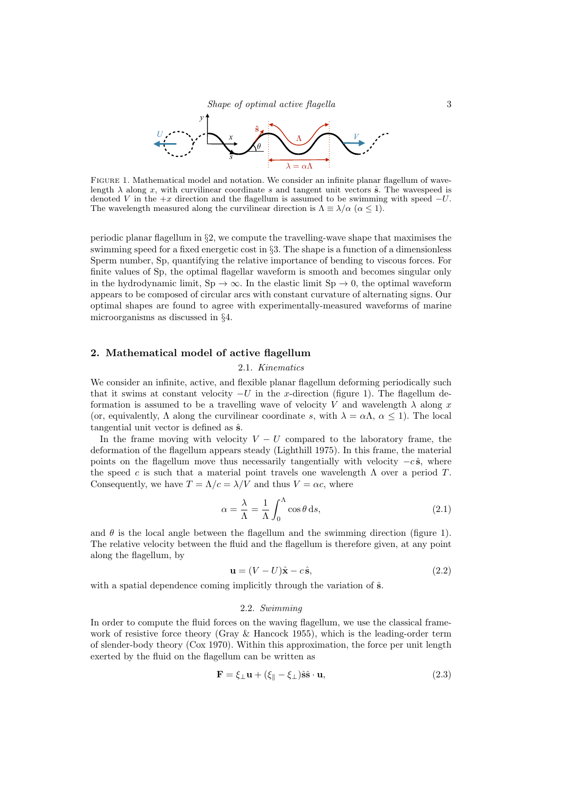

Figure 1. Mathematical model and notation. We consider an infinite planar flagellum of wavelength  $\lambda$  along x, with curvilinear coordinate s and tangent unit vectors  $\hat{\mathbf{s}}$ . The wavespeed is denoted V in the  $+x$  direction and the flagellum is assumed to be swimming with speed  $-U$ . The wavelength measured along the curvilinear direction is  $\Lambda \equiv \lambda/\alpha$  ( $\alpha \leq 1$ ).

periodic planar flagellum in §2, we compute the travelling-wave shape that maximises the swimming speed for a fixed energetic cost in §3. The shape is a function of a dimensionless Sperm number, Sp, quantifying the relative importance of bending to viscous forces. For finite values of Sp, the optimal flagellar waveform is smooth and becomes singular only in the hydrodynamic limit,  $Sp \to \infty$ . In the elastic limit  $Sp \to 0$ , the optimal waveform appears to be composed of circular arcs with constant curvature of alternating signs. Our optimal shapes are found to agree with experimentally-measured waveforms of marine microorganisms as discussed in §4.

### 2. Mathematical model of active flagellum

### 2.1. Kinematics

We consider an infinite, active, and flexible planar flagellum deforming periodically such that it swims at constant velocity  $-U$  in the x-direction (figure 1). The flagellum deformation is assumed to be a travelling wave of velocity V and wavelength  $\lambda$  along x (or, equivalently,  $\Lambda$  along the curvilinear coordinate s, with  $\lambda = \alpha \Lambda$ ,  $\alpha \leq 1$ ). The local tangential unit vector is defined as  $\hat{\mathbf{s}}$ .

In the frame moving with velocity  $V - U$  compared to the laboratory frame, the deformation of the flagellum appears steady (Lighthill 1975). In this frame, the material points on the flagellum move thus necessarily tangentially with velocity  $-c\hat{s}$ , where the speed c is such that a material point travels one wavelength  $\Lambda$  over a period T. Consequently, we have  $T = \Lambda/c = \lambda/V$  and thus  $V = \alpha c$ , where

$$
\alpha = \frac{\lambda}{\Lambda} = \frac{1}{\Lambda} \int_0^{\Lambda} \cos \theta \, ds,\tag{2.1}
$$

and  $\theta$  is the local angle between the flagellum and the swimming direction (figure 1). The relative velocity between the fluid and the flagellum is therefore given, at any point along the flagellum, by

$$
\mathbf{u} = (V - U)\hat{\mathbf{x}} - c\hat{\mathbf{s}},\tag{2.2}
$$

with a spatial dependence coming implicitly through the variation of  $\hat{\mathbf{s}}$ .

### 2.2. Swimming

In order to compute the fluid forces on the waving flagellum, we use the classical framework of resistive force theory (Gray & Hancock 1955), which is the leading-order term of slender-body theory (Cox 1970). Within this approximation, the force per unit length exerted by the fluid on the flagellum can be written as

$$
\mathbf{F} = \xi_{\perp} \mathbf{u} + (\xi_{\parallel} - \xi_{\perp}) \hat{\mathbf{s}} \hat{\mathbf{s}} \cdot \mathbf{u},\tag{2.3}
$$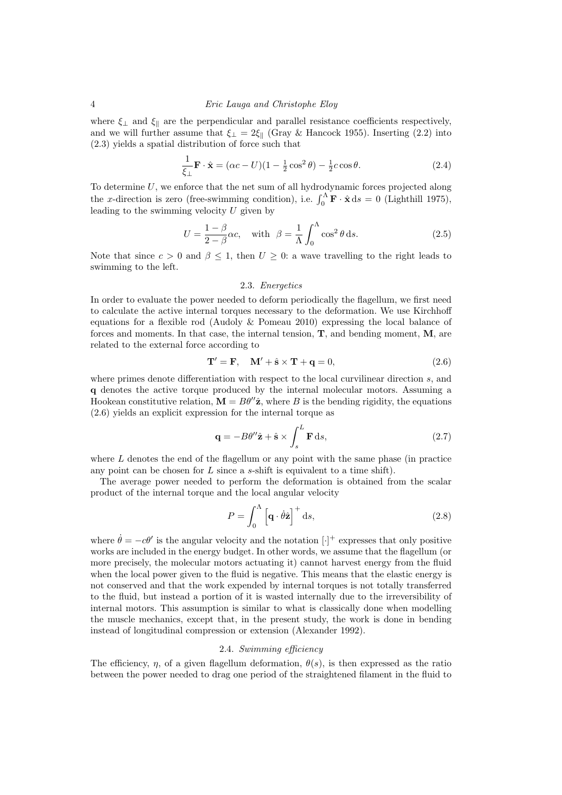### 4 Eric Lauga and Christophe Eloy

where  $\xi_{\perp}$  and  $\xi_{\parallel}$  are the perpendicular and parallel resistance coefficients respectively, and we will further assume that  $\xi_{\perp} = 2\xi_{\parallel}$  (Gray & Hancock 1955). Inserting (2.2) into (2.3) yields a spatial distribution of force such that

$$
\frac{1}{\xi_{\perp}} \mathbf{F} \cdot \hat{\mathbf{x}} = (\alpha c - U)(1 - \frac{1}{2}\cos^2\theta) - \frac{1}{2}c\cos\theta.
$$
 (2.4)

To determine  $U$ , we enforce that the net sum of all hydrodynamic forces projected along the x-direction is zero (free-swimming condition), i.e.  $\int_0^{\Lambda} \mathbf{F} \cdot \hat{\mathbf{x}} ds = 0$  (Lighthill 1975), leading to the swimming velocity  $U$  given by

$$
U = \frac{1 - \beta}{2 - \beta}\alpha c, \quad \text{with} \quad \beta = \frac{1}{\Lambda} \int_0^{\Lambda} \cos^2 \theta \, \mathrm{d}s. \tag{2.5}
$$

Note that since  $c > 0$  and  $\beta \leq 1$ , then  $U \geq 0$ : a wave travelling to the right leads to swimming to the left.

# 2.3. Energetics

In order to evaluate the power needed to deform periodically the flagellum, we first need to calculate the active internal torques necessary to the deformation. We use Kirchhoff equations for a flexible rod (Audoly & Pomeau 2010) expressing the local balance of forces and moments. In that case, the internal tension,  $T$ , and bending moment,  $M$ , are related to the external force according to

$$
\mathbf{T}' = \mathbf{F}, \quad \mathbf{M}' + \hat{\mathbf{s}} \times \mathbf{T} + \mathbf{q} = 0,
$$
\n(2.6)

where primes denote differentiation with respect to the local curvilinear direction s, and q denotes the active torque produced by the internal molecular motors. Assuming a Hookean constitutive relation,  $\mathbf{M} = B\theta''\hat{\mathbf{z}}$ , where B is the bending rigidity, the equations (2.6) yields an explicit expression for the internal torque as

$$
\mathbf{q} = -B\theta''\hat{\mathbf{z}} + \hat{\mathbf{s}} \times \int_{s}^{L} \mathbf{F} \, \mathrm{d}s,\tag{2.7}
$$

where  $L$  denotes the end of the flagellum or any point with the same phase (in practice any point can be chosen for  $L$  since a s-shift is equivalent to a time shift).

The average power needed to perform the deformation is obtained from the scalar product of the internal torque and the local angular velocity

$$
P = \int_0^\Lambda \left[ \mathbf{q} \cdot \dot{\theta} \hat{\mathbf{z}} \right]^+ \mathrm{d}s,\tag{2.8}
$$

where  $\dot{\theta} = -c\theta'$  is the angular velocity and the notation  $[\cdot]^+$  expresses that only positive works are included in the energy budget. In other words, we assume that the flagellum (or more precisely, the molecular motors actuating it) cannot harvest energy from the fluid when the local power given to the fluid is negative. This means that the elastic energy is not conserved and that the work expended by internal torques is not totally transferred to the fluid, but instead a portion of it is wasted internally due to the irreversibility of internal motors. This assumption is similar to what is classically done when modelling the muscle mechanics, except that, in the present study, the work is done in bending instead of longitudinal compression or extension (Alexander 1992).

### 2.4. Swimming efficiency

The efficiency,  $\eta$ , of a given flagellum deformation,  $\theta(s)$ , is then expressed as the ratio between the power needed to drag one period of the straightened filament in the fluid to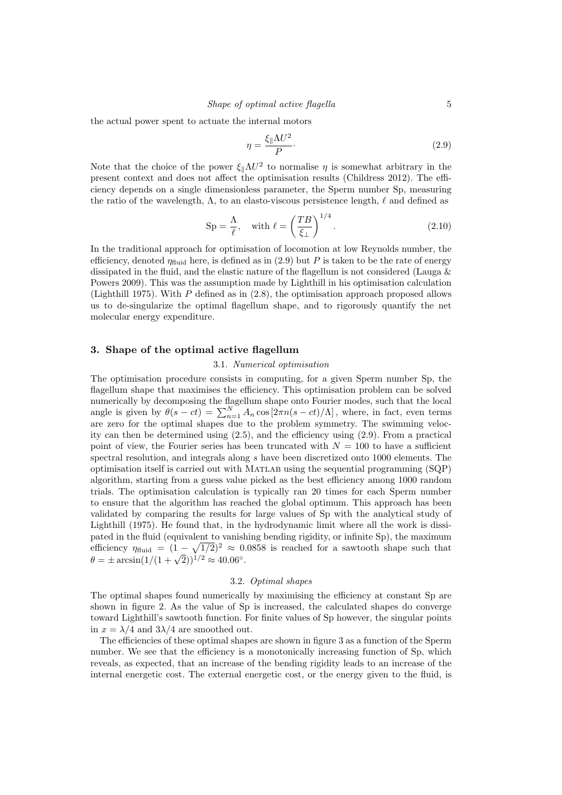the actual power spent to actuate the internal motors

$$
\eta = \frac{\xi_{\parallel} \Lambda U^2}{P}.
$$
\n(2.9)

Note that the choice of the power  $\xi_{\parallel} \Lambda U^2$  to normalise  $\eta$  is somewhat arbitrary in the present context and does not affect the optimisation results (Childress 2012). The efficiency depends on a single dimensionless parameter, the Sperm number Sp, measuring the ratio of the wavelength,  $\Lambda$ , to an elasto-viscous persistence length,  $\ell$  and defined as

$$
Sp = \frac{\Lambda}{\ell}, \quad \text{with } \ell = \left(\frac{TB}{\xi_{\perp}}\right)^{1/4}.
$$
 (2.10)

In the traditional approach for optimisation of locomotion at low Reynolds number, the efficiency, denoted  $\eta_{\text{fluid}}$  here, is defined as in (2.9) but P is taken to be the rate of energy dissipated in the fluid, and the elastic nature of the flagellum is not considered (Lauga & Powers 2009). This was the assumption made by Lighthill in his optimisation calculation (Lighthill 1975). With  $P$  defined as in  $(2.8)$ , the optimisation approach proposed allows us to de-singularize the optimal flagellum shape, and to rigorously quantify the net molecular energy expenditure.

### 3. Shape of the optimal active flagellum

#### 3.1. Numerical optimisation

The optimisation procedure consists in computing, for a given Sperm number Sp, the flagellum shape that maximises the efficiency. This optimisation problem can be solved numerically by decomposing the flagellum shape onto Fourier modes, such that the local angle is given by  $\theta(s-ct) = \sum_{n=1}^{N} A_n \cos(2\pi n(s-ct)/\Lambda)$ , where, in fact, even terms are zero for the optimal shapes due to the problem symmetry. The swimming velocity can then be determined using (2.5), and the efficiency using (2.9). From a practical point of view, the Fourier series has been truncated with  $N = 100$  to have a sufficient spectral resolution, and integrals along s have been discretized onto 1000 elements. The optimisation itself is carried out with Matlab using the sequential programming (SQP) algorithm, starting from a guess value picked as the best efficiency among 1000 random trials. The optimisation calculation is typically ran 20 times for each Sperm number to ensure that the algorithm has reached the global optimum. This approach has been validated by comparing the results for large values of Sp with the analytical study of Lighthill (1975). He found that, in the hydrodynamic limit where all the work is dissipated in the fluid (equivalent to vanishing bending rigidity, or infinite Sp), the maximum efficiency  $\eta_{\text{fluid}} = (1 - \sqrt{1/2})^2 \approx 0.0858$  is reached for a sawtooth shape such that  $\theta = \pm \arcsin(1/(1 + \sqrt{2}))^{1/2} \approx 40.06^{\circ}$ .

### 3.2. Optimal shapes

The optimal shapes found numerically by maximising the efficiency at constant Sp are shown in figure 2. As the value of Sp is increased, the calculated shapes do converge toward Lighthill's sawtooth function. For finite values of Sp however, the singular points in  $x = \lambda/4$  and  $3\lambda/4$  are smoothed out.

The efficiencies of these optimal shapes are shown in figure 3 as a function of the Sperm number. We see that the efficiency is a monotonically increasing function of Sp, which reveals, as expected, that an increase of the bending rigidity leads to an increase of the internal energetic cost. The external energetic cost, or the energy given to the fluid, is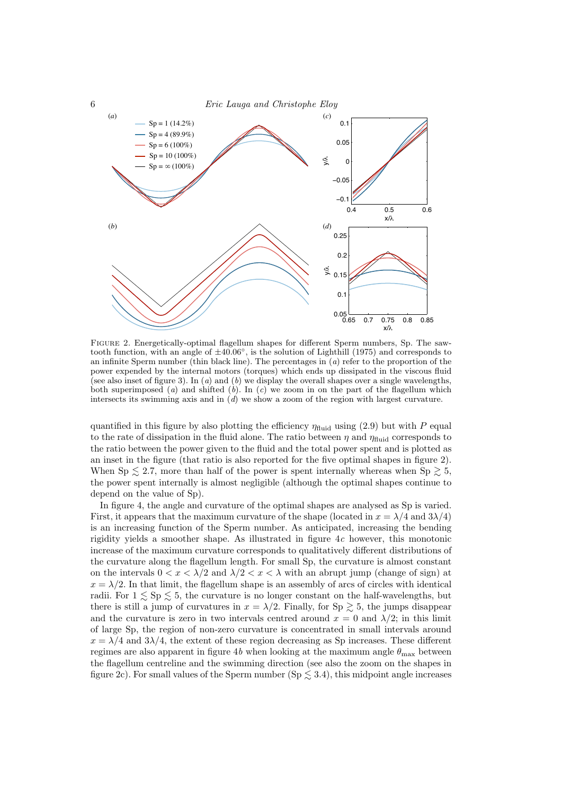

Figure 2. Energetically-optimal flagellum shapes for different Sperm numbers, Sp. The sawtooth function, with an angle of  $\pm 40.06^{\circ}$ , is the solution of Lighthill (1975) and corresponds to an infinite Sperm number (thin black line). The percentages in  $(a)$  refer to the proportion of the power expended by the internal motors (torques) which ends up dissipated in the viscous fluid (see also inset of figure 3). In  $(a)$  and  $(b)$  we display the overall shapes over a single wavelengths, both superimposed (a) and shifted (b). In (c) we zoom in on the part of the flagellum which intersects its swimming axis and in  $(d)$  we show a zoom of the region with largest curvature.

quantified in this figure by also plotting the efficiency  $\eta_{\text{fluid}}$  using (2.9) but with P equal to the rate of dissipation in the fluid alone. The ratio between  $\eta$  and  $\eta_{\text{fluid}}$  corresponds to the ratio between the power given to the fluid and the total power spent and is plotted as an inset in the figure (that ratio is also reported for the five optimal shapes in figure 2). When Sp  $\leq$  2.7, more than half of the power is spent internally whereas when Sp  $\geq$  5, the power spent internally is almost negligible (although the optimal shapes continue to depend on the value of Sp).

In figure 4, the angle and curvature of the optimal shapes are analysed as Sp is varied. First, it appears that the maximum curvature of the shape (located in  $x = \lambda/4$  and  $3\lambda/4$ ) is an increasing function of the Sperm number. As anticipated, increasing the bending rigidity yields a smoother shape. As illustrated in figure  $4c$  however, this monotonic increase of the maximum curvature corresponds to qualitatively different distributions of the curvature along the flagellum length. For small Sp, the curvature is almost constant on the intervals  $0 < x < \lambda/2$  and  $\lambda/2 < x < \lambda$  with an abrupt jump (change of sign) at  $x = \lambda/2$ . In that limit, the flagellum shape is an assembly of arcs of circles with identical radii. For  $1 \leq Sp \leq 5$ , the curvature is no longer constant on the half-wavelengths, but there is still a jump of curvatures in  $x = \lambda/2$ . Finally, for Sp  $\geq 5$ , the jumps disappear and the curvature is zero in two intervals centred around  $x = 0$  and  $\lambda/2$ ; in this limit of large Sp, the region of non-zero curvature is concentrated in small intervals around  $x = \lambda/4$  and  $3\lambda/4$ , the extent of these region decreasing as Sp increases. These different regimes are also apparent in figure 4b when looking at the maximum angle  $\theta_{\text{max}}$  between the flagellum centreline and the swimming direction (see also the zoom on the shapes in figure 2c). For small values of the Sperm number (Sp  $\lesssim$  3.4), this midpoint angle increases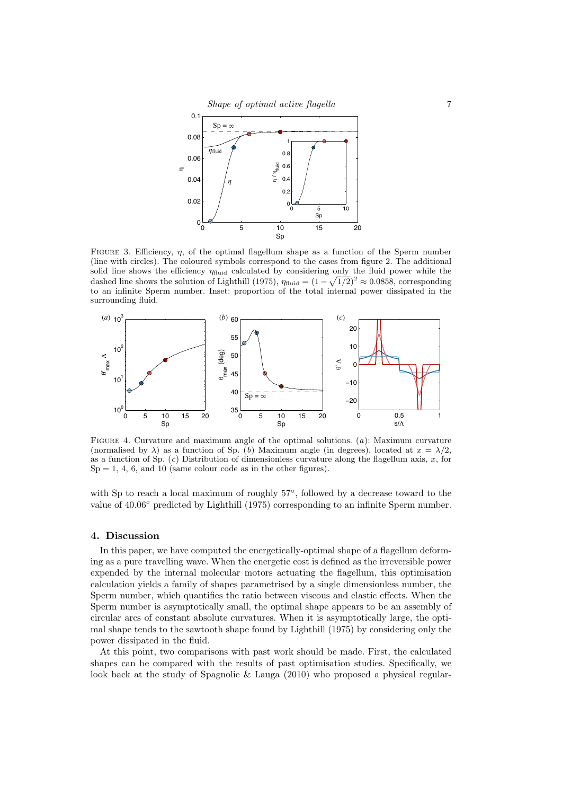

FIGURE 3. Efficiency,  $\eta$ , of the optimal flagellum shape as a function of the Sperm number (line with circles). The coloured symbols correspond to the cases from figure 2. The additional solid line shows the efficiency  $\eta_{\text{fluid}}$  calculated by considering only the fluid power while the dashed line shows the solution of Lighthill (1975),  $\eta_{\text{fluid}} = (1 - \sqrt{1/2})^2 \approx 0.0858$ , corresponding to an infinite Sperm number. Inset: proportion of the total internal power dissipated in the surrounding fluid.



FIGURE 4. Curvature and maximum angle of the optimal solutions.  $(a)$ : Maximum curvature (normalised by  $\lambda$ ) as a function of Sp. (b) Maximum angle (in degrees), located at  $x = \lambda/2$ . as a function of Sp.  $(c)$  Distribution of dimensionless curvature along the flagellum axis, x, for  $Sp = 1, 4, 6, and 10$  (same colour code as in the other figures).

with Sp to reach a local maximum of roughly  $57^{\circ}$ , followed by a decrease toward to the value of 40.06° predicted by Lighthill (1975) corresponding to an infinite Sperm number.

### 4. Discussion

In this paper, we have computed the energetically-optimal shape of a flagellum deforming as a pure travelling wave. When the energetic cost is defined as the irreversible power expended by the internal molecular motors actuating the flagellum, this optimisation calculation yields a family of shapes parametrised by a single dimensionless number, the Sperm number, which quantifies the ratio between viscous and elastic effects. When the Sperm number is asymptotically small, the optimal shape appears to be an assembly of circular arcs of constant absolute curvatures. When it is asymptotically large, the optimal shape tends to the sawtooth shape found by Lighthill (1975) by considering only the power dissipated in the fluid.

At this point, two comparisons with past work should be made. First, the calculated shapes can be compared with the results of past optimisation studies. Specifically, we look back at the study of Spagnolie & Lauga (2010) who proposed a physical regular-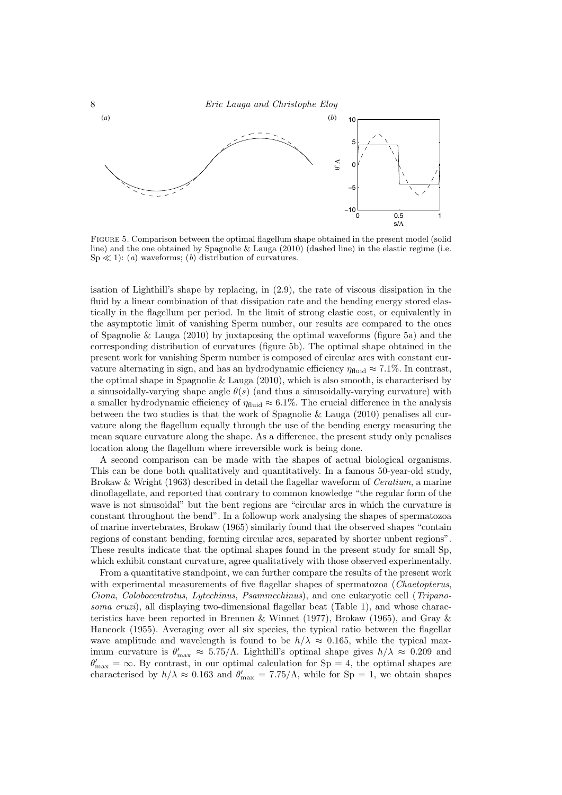

Figure 5. Comparison between the optimal flagellum shape obtained in the present model (solid line) and the one obtained by Spagnolie & Lauga (2010) (dashed line) in the elastic regime (i.e.  $Sp \ll 1$ : (a) waveforms; (b) distribution of curvatures.

isation of Lighthill's shape by replacing, in (2.9), the rate of viscous dissipation in the fluid by a linear combination of that dissipation rate and the bending energy stored elastically in the flagellum per period. In the limit of strong elastic cost, or equivalently in the asymptotic limit of vanishing Sperm number, our results are compared to the ones of Spagnolie & Lauga (2010) by juxtaposing the optimal waveforms (figure 5a) and the corresponding distribution of curvatures (figure 5b). The optimal shape obtained in the present work for vanishing Sperm number is composed of circular arcs with constant curvature alternating in sign, and has an hydrodynamic efficiency  $\eta_{\text{fluid}} \approx 7.1\%$ . In contrast, the optimal shape in Spagnolie  $&$  Lauga (2010), which is also smooth, is characterised by a sinusoidally-varying shape angle  $\theta(s)$  (and thus a sinusoidally-varying curvature) with a smaller hydrodynamic efficiency of  $\eta_{\text{fluid}} \approx 6.1\%$ . The crucial difference in the analysis between the two studies is that the work of Spagnolie & Lauga (2010) penalises all curvature along the flagellum equally through the use of the bending energy measuring the mean square curvature along the shape. As a difference, the present study only penalises location along the flagellum where irreversible work is being done.

A second comparison can be made with the shapes of actual biological organisms. This can be done both qualitatively and quantitatively. In a famous 50-year-old study, Brokaw & Wright (1963) described in detail the flagellar waveform of *Ceratium*, a marine dinoflagellate, and reported that contrary to common knowledge "the regular form of the wave is not sinusoidal" but the bent regions are "circular arcs in which the curvature is constant throughout the bend". In a followup work analysing the shapes of spermatozoa of marine invertebrates, Brokaw (1965) similarly found that the observed shapes "contain regions of constant bending, forming circular arcs, separated by shorter unbent regions". These results indicate that the optimal shapes found in the present study for small Sp, which exhibit constant curvature, agree qualitatively with those observed experimentally.

From a quantitative standpoint, we can further compare the results of the present work with experimental measurements of five flagellar shapes of spermatozoa (Chaetopterus, Ciona, Colobocentrotus, Lytechinus, Psammechinus), and one eukaryotic cell (Tripanosoma cruzi), all displaying two-dimensional flagellar beat (Table 1), and whose characteristics have been reported in Brennen & Winnet (1977), Brokaw (1965), and Gray & Hancock (1955). Averaging over all six species, the typical ratio between the flagellar wave amplitude and wavelength is found to be  $h/\lambda \approx 0.165$ , while the typical maximum curvature is  $\theta'_{\text{max}} \approx 5.75/\Lambda$ . Lighthill's optimal shape gives  $h/\lambda \approx 0.209$  and  $\theta'_{\text{max}} = \infty$ . By contrast, in our optimal calculation for Sp = 4, the optimal shapes are characterised by  $h/\lambda \approx 0.163$  and  $\theta'_{\text{max}} = 7.75/\Lambda$ , while for Sp = 1, we obtain shapes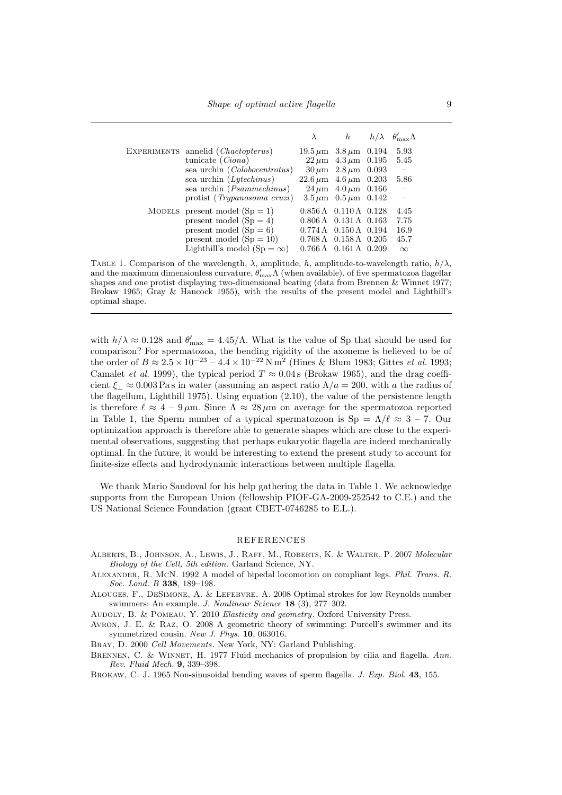|                                       | $\lambda$                            | h                                                     | $h/\lambda$ $\theta'_{\rm max}\Lambda$ |
|---------------------------------------|--------------------------------------|-------------------------------------------------------|----------------------------------------|
| EXPERIMENTS annelid (Chaetopterus)    |                                      | $19.5 \,\mu \text{m}$ $3.8 \,\mu \text{m}$ $0.194$    | 5.93                                   |
| tunicate $(Ciona)$                    |                                      | $22 \mu m$ 4.3 $\mu m$ 0.195                          | 5.45                                   |
| sea urchin ( <i>Colobocentrotus</i> ) |                                      | $30 \,\mu m$ $2.8 \,\mu m$ 0.093                      | $\hspace{0.1mm}$                       |
| sea urchin $(Lytechnus)$              | $22.6 \,\mu m$ $4.6 \,\mu m$ $0.203$ |                                                       | 5.86                                   |
| sea urchin ( <i>Psammechinus</i> )    |                                      | $24 \mu m$ $4.0 \mu m$ 0.166                          | $\overline{\phantom{m}}$               |
| protist (Trypanosoma cruzi)           |                                      | $3.5 \,\mu \text{m}$ $0.5 \,\mu \text{m}$ $0.142$     |                                        |
| MODELS present model $(Sp = 1)$       |                                      | $0.856 \,\mathrm{\AA}$ $0.110 \,\mathrm{\AA}$ $0.128$ | 4.45                                   |
| present model $(Sp = 4)$              |                                      | $0.806 \,\mathrm{\AA}$ $0.131 \,\mathrm{\AA}$ $0.163$ | 7.75                                   |
| present model $(Sp = 6)$              |                                      | $0.774 \Lambda$ $0.150 \Lambda$ $0.194$               | 16.9                                   |
| present model $(Sp = 10)$             |                                      | $0.768 \,\mathrm{\AA}$ $0.158 \,\mathrm{\AA}$ $0.205$ | 45.7                                   |
| Lighthill's model $(Sp = \infty)$     |                                      | $0.766 \,\mathrm{\AA}$ $0.161 \,\mathrm{\AA}$ $0.209$ | $\infty$                               |

TABLE 1. Comparison of the wavelength,  $\lambda$ , amplitude, h, amplitude-to-wavelength ratio,  $h/\lambda$ , and the maximum dimensionless curvature,  $\theta'_{\text{max}}\Lambda$  (when available), of five spermatozoa flagellar shapes and one protist displaying two-dimensional beating (data from Brennen & Winnet 1977; Brokaw 1965; Gray & Hancock 1955), with the results of the present model and Lighthill's optimal shape.

with  $h/\lambda \approx 0.128$  and  $\theta'_{\text{max}} = 4.45/\Lambda$ . What is the value of Sp that should be used for comparison? For spermatozoa, the bending rigidity of the axoneme is believed to be of the order of  $B \approx 2.5 \times 10^{-23} - 4.4 \times 10^{-22} \text{ N m}^2$  (Hines & Blum 1983; Gittes *et al.* 1993; Camalet *et al.* 1999), the typical period  $T \approx 0.04$  s (Brokaw 1965), and the drag coefficient  $\xi_{\perp} \approx 0.003 \text{ Pas in water}$  (assuming an aspect ratio  $\Lambda/a = 200$ , with a the radius of the flagellum, Lighthill 1975). Using equation (2.10), the value of the persistence length is therefore  $\ell \approx 4 - 9 \,\mu \text{m}$ . Since  $\Lambda \approx 28 \,\mu \text{m}$  on average for the spermatozoa reported in Table 1, the Sperm number of a typical spermatozoon is  $\text{Sp} = \Lambda/\ell \approx 3$  – 7. Our optimization approach is therefore able to generate shapes which are close to the experimental observations, suggesting that perhaps eukaryotic flagella are indeed mechanically optimal. In the future, it would be interesting to extend the present study to account for finite-size effects and hydrodynamic interactions between multiple flagella.

We thank Mario Sandoval for his help gathering the data in Table 1. We acknowledge supports from the European Union (fellowship PIOF-GA-2009-252542 to C.E.) and the US National Science Foundation (grant CBET-0746285 to E.L.).

#### REFERENCES

- Alberts, B., Johnson, A., Lewis, J., Raff, M., Roberts, K. & Walter, P. 2007 Molecular Biology of the Cell, 5th edition. Garland Science, NY.
- Alexander, R. McN. 1992 A model of bipedal locomotion on compliant legs. Phil. Trans. R. Soc. Lond. B 338, 189-198.

Alouges, F., DeSimone, A. & Lefebvre, A. 2008 Optimal strokes for low Reynolds number swimmers: An example. J. Nonlinear Science 18 (3), 277–302.

AUDOLY, B. & POMEAU, Y. 2010 Elasticity and geometry. Oxford University Press.

Avron, J. E. & Raz, O. 2008 A geometric theory of swimming: Purcell's swimmer and its symmetrized cousin. New J. Phys. 10, 063016.

Bray, D. 2000 Cell Movements. New York, NY: Garland Publishing.

BRENNEN, C. & WINNET, H. 1977 Fluid mechanics of propulsion by cilia and flagella. Ann. Rev. Fluid Mech. 9, 339–398.

BROKAW, C. J. 1965 Non-sinusoidal bending waves of sperm flagella. J. Exp. Biol. 43, 155.